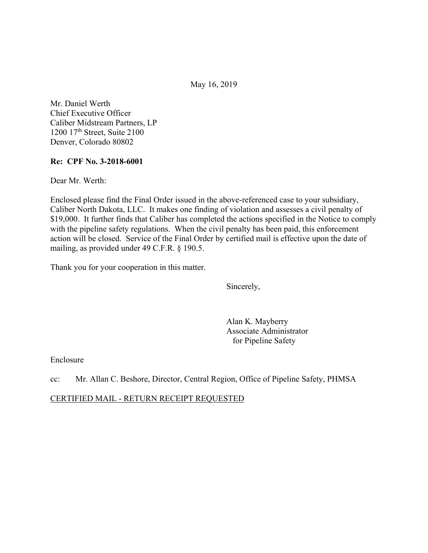May 16, 2019

Mr. Daniel Werth Chief Executive Officer Caliber Midstream Partners, LP 1200 17<sup>th</sup> Street, Suite 2100 Denver, Colorado 80802

### **Re: CPF No. 3-2018-6001**

Dear Mr. Werth:

Enclosed please find the Final Order issued in the above-referenced case to your subsidiary, Caliber North Dakota, LLC. It makes one finding of violation and assesses a civil penalty of \$19,000. It further finds that Caliber has completed the actions specified in the Notice to comply with the pipeline safety regulations. When the civil penalty has been paid, this enforcement action will be closed. Service of the Final Order by certified mail is effective upon the date of mailing, as provided under 49 C.F.R. § 190.5.

Thank you for your cooperation in this matter.

Sincerely,

Alan K. Mayberry Associate Administrator for Pipeline Safety

Enclosure

cc: Mr. Allan C. Beshore, Director, Central Region, Office of Pipeline Safety, PHMSA

CERTIFIED MAIL - RETURN RECEIPT REQUESTED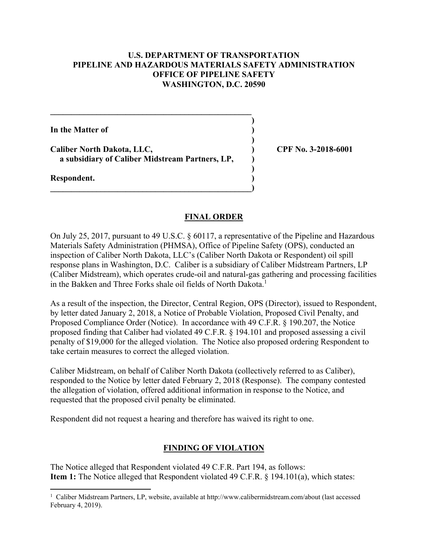#### **U.S. DEPARTMENT OF TRANSPORTATION PIPELINE AND HAZARDOUS MATERIALS SAFETY ADMINISTRATION OFFICE OF PIPELINE SAFETY WASHINGTON, D.C. 20590**

**)**

 **)**

**)**

**In the Matter of )**

**Caliber North Dakota, LLC, ) CPF No. 3-2018-6001 a subsidiary of Caliber Midstream Partners, LP, )** 

 $\overline{\phantom{a}}$ 

**\_\_\_\_\_\_\_\_\_\_\_\_\_\_\_\_\_\_\_\_\_\_\_\_\_\_\_\_\_\_\_\_\_\_\_\_\_\_\_\_\_\_\_\_\_\_\_\_** 

**Respondent. )** 

<u>.</u>

### **FINAL ORDER**

On July 25, 2017, pursuant to 49 U.S.C. § 60117, a representative of the Pipeline and Hazardous Materials Safety Administration (PHMSA), Office of Pipeline Safety (OPS), conducted an inspection of Caliber North Dakota, LLC's (Caliber North Dakota or Respondent) oil spill response plans in Washington, D.C. Caliber is a subsidiary of Caliber Midstream Partners, LP (Caliber Midstream), which operates crude-oil and natural-gas gathering and processing facilities in the Bakken and Three Forks shale oil fields of North Dakota.<sup>1</sup>

As a result of the inspection, the Director, Central Region, OPS (Director), issued to Respondent, by letter dated January 2, 2018, a Notice of Probable Violation, Proposed Civil Penalty, and Proposed Compliance Order (Notice). In accordance with 49 C.F.R. § 190.207, the Notice proposed finding that Caliber had violated 49 C.F.R. § 194.101 and proposed assessing a civil penalty of \$19,000 for the alleged violation. The Notice also proposed ordering Respondent to take certain measures to correct the alleged violation.

Caliber Midstream, on behalf of Caliber North Dakota (collectively referred to as Caliber), responded to the Notice by letter dated February 2, 2018 (Response). The company contested the allegation of violation, offered additional information in response to the Notice, and requested that the proposed civil penalty be eliminated.

Respondent did not request a hearing and therefore has waived its right to one.

# **FINDING OF VIOLATION**

The Notice alleged that Respondent violated 49 C.F.R. Part 194, as follows: **Item 1:** The Notice alleged that Respondent violated 49 C.F.R. § 194.101(a), which states:

<sup>1</sup> Caliber Midstream Partners, LP, website, available at<http://www.calibermidstream.com/about> (last accessed February 4, 2019).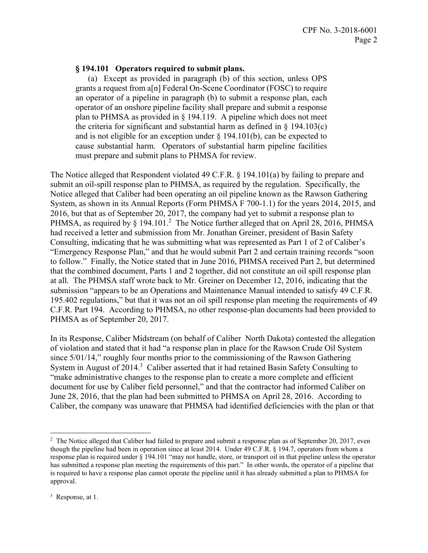### **§ 194.101 Operators required to submit plans.**

 an operator of a pipeline in paragraph (b) to submit a response plan, each the criteria for significant and substantial harm as defined in  $\S$  194.103(c) cause substantial harm. Operators of substantial harm pipeline facilities (a) Except as provided in paragraph (b) of this section, unless OPS grants a request from a[n] Federal On-Scene Coordinator (FOSC) to require operator of an onshore pipeline facility shall prepare and submit a response plan to PHMSA as provided in § 194.119. A pipeline which does not meet and is not eligible for an exception under  $\S$  194.101(b), can be expected to must prepare and submit plans to PHMSA for review.

The Notice alleged that Respondent violated 49 C.F.R. § 194.101(a) by failing to prepare and submit an oil-spill response plan to PHMSA, as required by the regulation. Specifically, the Notice alleged that Caliber had been operating an oil pipeline known as the Rawson Gathering System, as shown in its Annual Reports (Form PHMSA F 700-1.1) for the years 2014, 2015, and 2016, but that as of September 20, 2017, the company had yet to submit a response plan to PHMSA, as required by  $\S$  194.101.<sup>2</sup> The Notice further alleged that on April 28, 2016, PHMSA had received a letter and submission from Mr. Jonathan Greiner, president of Basin Safety Consulting, indicating that he was submitting what was represented as Part 1 of 2 of Caliber's "Emergency Response Plan," and that he would submit Part 2 and certain training records "soon to follow." Finally, the Notice stated that in June 2016, PHMSA received Part 2, but determined that the combined document, Parts 1 and 2 together, did not constitute an oil spill response plan at all. The PHMSA staff wrote back to Mr. Greiner on December 12, 2016, indicating that the submission "appears to be an Operations and Maintenance Manual intended to satisfy 49 C.F.R. 195.402 regulations," but that it was not an oil spill response plan meeting the requirements of 49 C.F.R. Part 194. According to PHMSA, no other response-plan documents had been provided to PHMSA as of September 20, 2017.

In its Response, Caliber Midstream (on behalf of Caliber North Dakota) contested the allegation of violation and stated that it had "a response plan in place for the Rawson Crude Oil System since 5/01/14," roughly four months prior to the commissioning of the Rawson Gathering System in August of 2014.<sup>3</sup> Caliber asserted that it had retained Basin Safety Consulting to "make administrative changes to the response plan to create a more complete and efficient document for use by Caliber field personnel," and that the contractor had informed Caliber on June 28, 2016, that the plan had been submitted to PHMSA on April 28, 2016. According to Caliber, the company was unaware that PHMSA had identified deficiencies with the plan or that

 $\overline{a}$  though the pipeline had been in operation since at least 2014. Under 49 C.F.R. § 194.7, operators from whom a response plan is required under § 194.101 "may not handle, store, or transport oil in that pipeline unless the operator has submitted a response plan meeting the requirements of this part." In other words, the operator of a pipeline that <sup>2</sup> The Notice alleged that Caliber had failed to prepare and submit a response plan as of September 20, 2017, even is required to have a response plan cannot operate the pipeline until it has already submitted a plan to PHMSA for approval.

<sup>&</sup>lt;sup>3</sup> Response, at 1.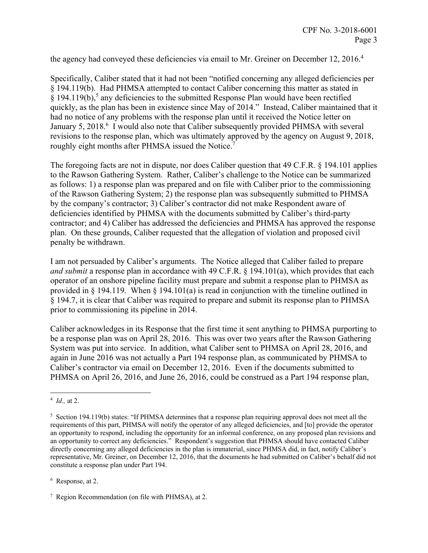the agency had conveyed these deficiencies via email to Mr. Greiner on December 12, 2016.<sup>4</sup>

Specifically, Caliber stated that it had not been "notified concerning any alleged deficiencies per § 194.119(b). Had PHMSA attempted to contact Caliber concerning this matter as stated in  $\S$  194.119(b),<sup>5</sup> any deficiencies to the submitted Response Plan would have been rectified quickly, as the plan has been in existence since May of 2014." Instead, Caliber maintained that it had no notice of any problems with the response plan until it received the Notice letter on January 5, 2018.<sup>6</sup> I would also note that Caliber subsequently provided PHMSA with several revisions to the response plan, which was ultimately approved by the agency on August 9, 2018, roughly eight months after PHMSA issued the Notice.<sup>7</sup>

The foregoing facts are not in dispute, nor does Caliber question that 49 C.F.R. § 194.101 applies to the Rawson Gathering System. Rather, Caliber's challenge to the Notice can be summarized as follows: 1) a response plan was prepared and on file with Caliber prior to the commissioning of the Rawson Gathering System; 2) the response plan was subsequently submitted to PHMSA by the company's contractor; 3) Caliber's contractor did not make Respondent aware of deficiencies identified by PHMSA with the documents submitted by Caliber's third-party contractor; and 4) Caliber has addressed the deficiencies and PHMSA has approved the response plan. On these grounds, Caliber requested that the allegation of violation and proposed civil penalty be withdrawn.

I am not persuaded by Caliber's arguments. The Notice alleged that Caliber failed to prepare *and submit* a response plan in accordance with 49 C.F.R. § 194.101(a), which provides that each operator of an onshore pipeline facility must prepare and submit a response plan to PHMSA as provided in  $\S$  194.119. When  $\S$  194.101(a) is read in conjunction with the timeline outlined in § 194.7, it is clear that Caliber was required to prepare and submit its response plan to PHMSA prior to commissioning its pipeline in 2014.

Caliber acknowledges in its Response that the first time it sent anything to PHMSA purporting to be a response plan was on April 28, 2016. This was over two years after the Rawson Gathering System was put into service. In addition, what Caliber sent to PHMSA on April 28, 2016, and again in June 2016 was not actually a Part 194 response plan, as communicated by PHMSA to Caliber's contractor via email on December 12, 2016. Even if the documents submitted to PHMSA on April 26, 2016, and June 26, 2016, could be construed as a Part 194 response plan,

 $\overline{a}$ <sup>4</sup> *Id.,* at 2.

 an opportunity to respond, including the opportunity for an informal conference, on any proposed plan revisions and  $5$  Section 194.119(b) states: "If PHMSA determines that a response plan requiring approval does not meet all the requirements of this part, PHMSA will notify the operator of any alleged deficiencies, and [to] provide the operator an opportunity to correct any deficiencies." Respondent's suggestion that PHMSA should have contacted Caliber directly concerning any alleged deficiencies in the plan is immaterial, since PHMSA did, in fact, notify Caliber's representative, Mr. Greiner, on December 12, 2016, that the documents he had submitted on Caliber's behalf did not constitute a response plan under Part 194.

<sup>&</sup>lt;sup>6</sup> Response, at 2.

 $7$  Region Recommendation (on file with PHMSA), at 2.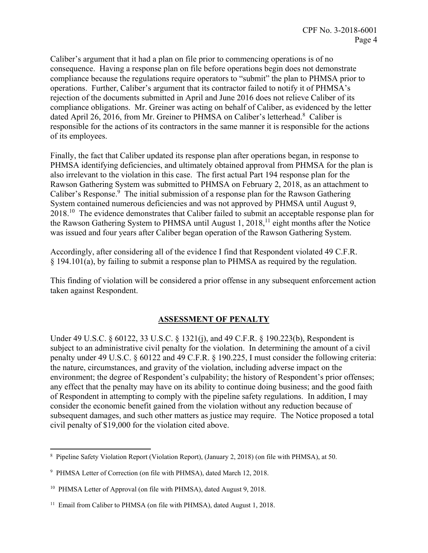Caliber's argument that it had a plan on file prior to commencing operations is of no consequence. Having a response plan on file before operations begin does not demonstrate compliance because the regulations require operators to "submit" the plan to PHMSA prior to operations. Further, Caliber's argument that its contractor failed to notify it of PHMSA's rejection of the documents submitted in April and June 2016 does not relieve Caliber of its compliance obligations. Mr. Greiner was acting on behalf of Caliber, as evidenced by the letter dated April 26, 2016, from Mr. Greiner to PHMSA on Caliber's letterhead.<sup>8</sup> Caliber is responsible for the actions of its contractors in the same manner it is responsible for the actions of its employees.

Finally, the fact that Caliber updated its response plan after operations began, in response to PHMSA identifying deficiencies, and ultimately obtained approval from PHMSA for the plan is also irrelevant to the violation in this case. The first actual Part 194 response plan for the Rawson Gathering System was submitted to PHMSA on February 2, 2018, as an attachment to Caliber's Response.<sup>9</sup> The initial submission of a response plan for the Rawson Gathering System contained numerous deficiencies and was not approved by PHMSA until August 9, 2018.<sup>10</sup> The evidence demonstrates that Caliber failed to submit an acceptable response plan for the Rawson Gathering System to PHMSA until August 1,  $2018$ ,<sup>11</sup> eight months after the Notice was issued and four years after Caliber began operation of the Rawson Gathering System.

Accordingly, after considering all of the evidence I find that Respondent violated 49 C.F.R. § 194.101(a), by failing to submit a response plan to PHMSA as required by the regulation.

This finding of violation will be considered a prior offense in any subsequent enforcement action taken against Respondent.

### **ASSESSMENT OF PENALTY**

Under 49 U.S.C. § 60122, 33 U.S.C. § 1321(j), and 49 C.F.R. § 190.223(b), Respondent is subject to an administrative civil penalty for the violation. In determining the amount of a civil penalty under 49 U.S.C. § 60122 and 49 C.F.R. § 190.225, I must consider the following criteria: the nature, circumstances, and gravity of the violation, including adverse impact on the environment; the degree of Respondent's culpability; the history of Respondent's prior offenses; any effect that the penalty may have on its ability to continue doing business; and the good faith of Respondent in attempting to comply with the pipeline safety regulations. In addition, I may consider the economic benefit gained from the violation without any reduction because of subsequent damages, and such other matters as justice may require. The Notice proposed a total civil penalty of \$19,000 for the violation cited above.

 $\overline{a}$ 

<sup>8</sup> Pipeline Safety Violation Report (Violation Report), (January 2, 2018) (on file with PHMSA), at 50.

<sup>&</sup>lt;sup>9</sup> PHMSA Letter of Correction (on file with PHMSA), dated March 12, 2018.

<sup>&</sup>lt;sup>10</sup> PHMSA Letter of Approval (on file with PHMSA), dated August 9, 2018.

<sup>&</sup>lt;sup>11</sup> Email from Caliber to PHMSA (on file with PHMSA), dated August 1, 2018.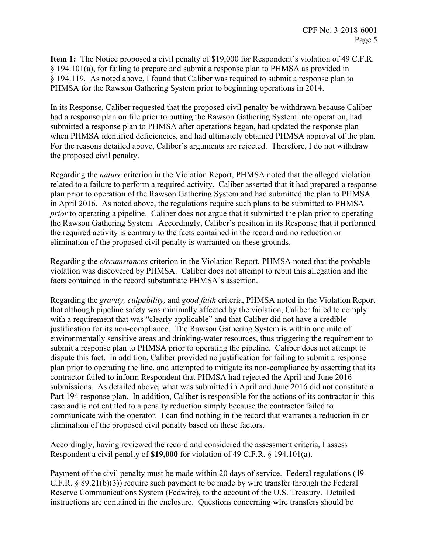**Item 1:** The Notice proposed a civil penalty of \$19,000 for Respondent's violation of 49 C.F.R. § 194.101(a), for failing to prepare and submit a response plan to PHMSA as provided in § 194.119. As noted above, I found that Caliber was required to submit a response plan to PHMSA for the Rawson Gathering System prior to beginning operations in 2014.

In its Response, Caliber requested that the proposed civil penalty be withdrawn because Caliber had a response plan on file prior to putting the Rawson Gathering System into operation, had submitted a response plan to PHMSA after operations began, had updated the response plan when PHMSA identified deficiencies, and had ultimately obtained PHMSA approval of the plan. For the reasons detailed above, Caliber's arguments are rejected. Therefore, I do not withdraw the proposed civil penalty.

Regarding the *nature* criterion in the Violation Report, PHMSA noted that the alleged violation related to a failure to perform a required activity. Caliber asserted that it had prepared a response plan prior to operation of the Rawson Gathering System and had submitted the plan to PHMSA in April 2016. As noted above, the regulations require such plans to be submitted to PHMSA *prior* to operating a pipeline. Caliber does not argue that it submitted the plan prior to operating the Rawson Gathering System. Accordingly, Caliber's position in its Response that it performed the required activity is contrary to the facts contained in the record and no reduction or elimination of the proposed civil penalty is warranted on these grounds.

Regarding the *circumstances* criterion in the Violation Report, PHMSA noted that the probable violation was discovered by PHMSA. Caliber does not attempt to rebut this allegation and the facts contained in the record substantiate PHMSA's assertion.

Regarding the *gravity, culpability,* and *good faith* criteria, PHMSA noted in the Violation Report that although pipeline safety was minimally affected by the violation, Caliber failed to comply with a requirement that was "clearly applicable" and that Caliber did not have a credible justification for its non-compliance. The Rawson Gathering System is within one mile of environmentally sensitive areas and drinking-water resources, thus triggering the requirement to submit a response plan to PHMSA prior to operating the pipeline. Caliber does not attempt to dispute this fact. In addition, Caliber provided no justification for failing to submit a response plan prior to operating the line, and attempted to mitigate its non-compliance by asserting that its contractor failed to inform Respondent that PHMSA had rejected the April and June 2016 submissions. As detailed above, what was submitted in April and June 2016 did not constitute a Part 194 response plan. In addition, Caliber is responsible for the actions of its contractor in this case and is not entitled to a penalty reduction simply because the contractor failed to communicate with the operator. I can find nothing in the record that warrants a reduction in or elimination of the proposed civil penalty based on these factors.

Accordingly, having reviewed the record and considered the assessment criteria, I assess Respondent a civil penalty of **\$19,000** for violation of 49 C.F.R. § 194.101(a).

Payment of the civil penalty must be made within 20 days of service. Federal regulations (49 C.F.R. § 89.21(b)(3)) require such payment to be made by wire transfer through the Federal Reserve Communications System (Fedwire), to the account of the U.S. Treasury. Detailed instructions are contained in the enclosure. Questions concerning wire transfers should be